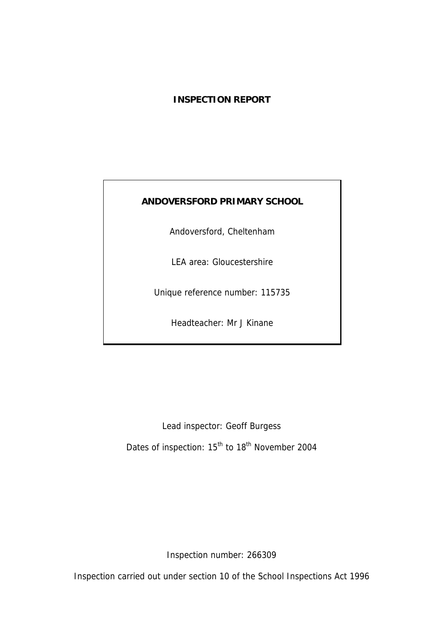## **INSPECTION REPORT**

## **ANDOVERSFORD PRIMARY SCHOOL**

Andoversford, Cheltenham

LEA area: Gloucestershire

Unique reference number: 115735

Headteacher: Mr J Kinane

Lead inspector: Geoff Burgess Dates of inspection: 15<sup>th</sup> to 18<sup>th</sup> November 2004

Inspection number: 266309

Inspection carried out under section 10 of the School Inspections Act 1996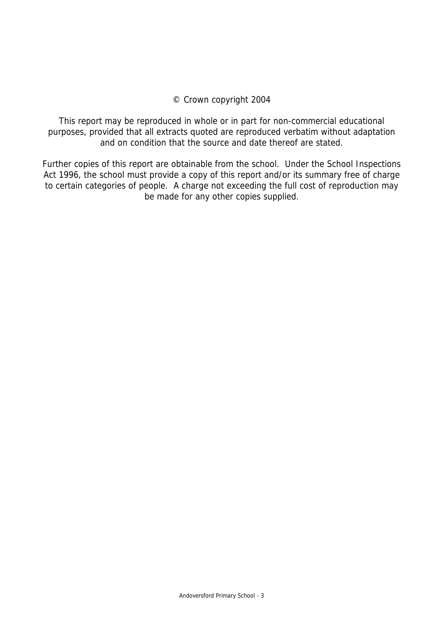#### © Crown copyright 2004

This report may be reproduced in whole or in part for non-commercial educational purposes, provided that all extracts quoted are reproduced verbatim without adaptation and on condition that the source and date thereof are stated.

Further copies of this report are obtainable from the school. Under the School Inspections Act 1996, the school must provide a copy of this report and/or its summary free of charge to certain categories of people. A charge not exceeding the full cost of reproduction may be made for any other copies supplied.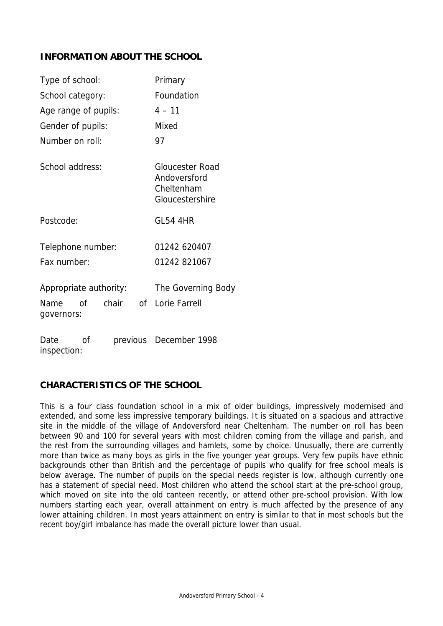## **INFORMATION ABOUT THE SCHOOL**

| Type of school:        |    |       |            | Primary                                                                 |  |  |
|------------------------|----|-------|------------|-------------------------------------------------------------------------|--|--|
| School category:       |    |       | Foundation |                                                                         |  |  |
| Age range of pupils:   |    |       |            | $4 - 11$                                                                |  |  |
| Gender of pupils:      |    |       |            | Mixed                                                                   |  |  |
| Number on roll:        |    |       |            | 97                                                                      |  |  |
| School address:        |    |       |            | <b>Gloucester Road</b><br>Andoversford<br>Cheltenham<br>Gloucestershire |  |  |
| Postcode:              |    |       |            | <b>GL54 4HR</b>                                                         |  |  |
| Telephone number:      |    |       |            | 01242 620407                                                            |  |  |
| Fax number:            |    |       |            | 01242 821067                                                            |  |  |
| Appropriate authority: |    |       |            | The Governing Body                                                      |  |  |
| Name<br>governors:     | Ωf | chair | of         | Lorie Farrell                                                           |  |  |
| Date                   | οf |       |            | previous December 1998                                                  |  |  |

inspection:

## **CHARACTERISTICS OF THE SCHOOL**

This is a four class foundation school in a mix of older buildings, impressively modernised and extended, and some less impressive temporary buildings. It is situated on a spacious and attractive site in the middle of the village of Andoversford near Cheltenham. The number on roll has been between 90 and 100 for several years with most children coming from the village and parish, and the rest from the surrounding villages and hamlets, some by choice. Unusually, there are currently more than twice as many boys as girls in the five younger year groups. Very few pupils have ethnic backgrounds other than British and the percentage of pupils who qualify for free school meals is below average. The number of pupils on the special needs register is low, although currently one has a statement of special need. Most children who attend the school start at the pre-school group, which moved on site into the old canteen recently, or attend other pre-school provision. With low numbers starting each year, overall attainment on entry is much affected by the presence of any lower attaining children. In most years attainment on entry is similar to that in most schools but the recent boy/girl imbalance has made the overall picture lower than usual.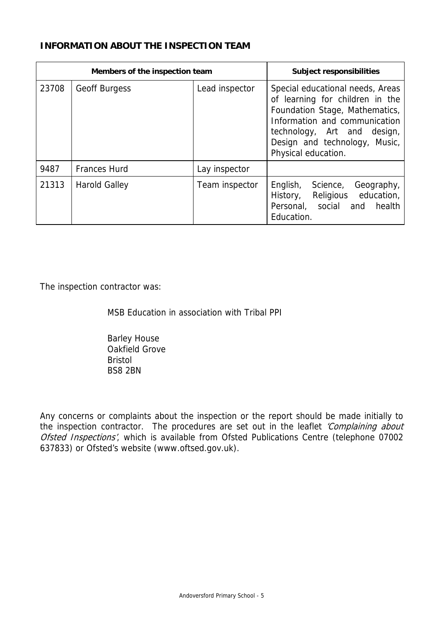## **INFORMATION ABOUT THE INSPECTION TEAM**

| Members of the inspection team |                      |                | <b>Subject responsibilities</b>                                                                                                                                                                                               |
|--------------------------------|----------------------|----------------|-------------------------------------------------------------------------------------------------------------------------------------------------------------------------------------------------------------------------------|
| 23708                          | <b>Geoff Burgess</b> | Lead inspector | Special educational needs, Areas<br>of learning for children in the<br>Foundation Stage, Mathematics,<br>Information and communication<br>technology, Art and design,<br>Design and technology, Music,<br>Physical education. |
| 9487                           | <b>Frances Hurd</b>  | Lay inspector  |                                                                                                                                                                                                                               |
| 21313                          | <b>Harold Galley</b> | Team inspector | English,<br>Geography,<br>Science,<br>Religious education,<br>History,<br>Personal, social and health<br>Education.                                                                                                           |

The inspection contractor was:

MSB Education in association with Tribal PPI

 Barley House Oakfield Grove Bristol BS8 2BN

Any concerns or complaints about the inspection or the report should be made initially to the inspection contractor. The procedures are set out in the leaflet 'Complaining about Ofsted Inspections', which is available from Ofsted Publications Centre (telephone 07002 637833) or Ofsted's website (www.oftsed.gov.uk).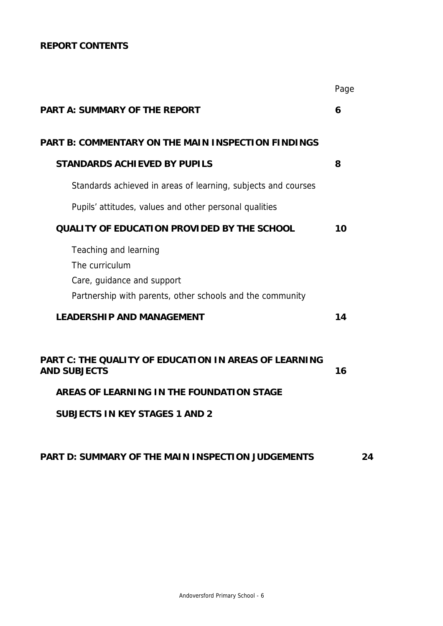## **REPORT CONTENTS**

|                                                                                                                                                                           | Page |
|---------------------------------------------------------------------------------------------------------------------------------------------------------------------------|------|
| <b>PART A: SUMMARY OF THE REPORT</b>                                                                                                                                      | 6    |
| <b>PART B: COMMENTARY ON THE MAIN INSPECTION FINDINGS</b>                                                                                                                 |      |
| <b>STANDARDS ACHIEVED BY PUPILS</b>                                                                                                                                       | 8    |
| Standards achieved in areas of learning, subjects and courses                                                                                                             |      |
| Pupils' attitudes, values and other personal qualities                                                                                                                    |      |
| <b>QUALITY OF EDUCATION PROVIDED BY THE SCHOOL</b>                                                                                                                        | 10   |
| Teaching and learning<br>The curriculum<br>Care, guidance and support<br>Partnership with parents, other schools and the community                                        |      |
| <b>LEADERSHIP AND MANAGEMENT</b>                                                                                                                                          | 14   |
| <b>PART C: THE QUALITY OF EDUCATION IN AREAS OF LEARNING</b><br><b>AND SUBJECTS</b><br>AREAS OF LEARNING IN THE FOUNDATION STAGE<br><b>SUBJECTS IN KEY STAGES 1 AND 2</b> | 16   |
|                                                                                                                                                                           |      |

## **PART D: SUMMARY OF THE MAIN INSPECTION JUDGEMENTS 24**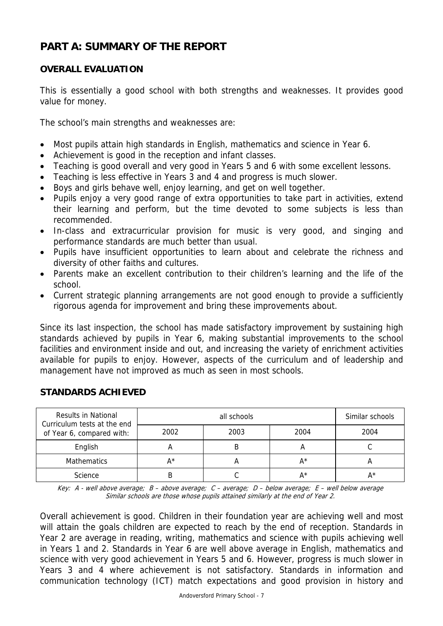# **PART A: SUMMARY OF THE REPORT**

## **OVERALL EVALUATION**

This is essentially a good school with both strengths and weaknesses. It provides good value for money.

The school's main strengths and weaknesses are:

- Most pupils attain high standards in English, mathematics and science in Year 6.
- Achievement is good in the reception and infant classes.
- Teaching is good overall and very good in Years 5 and 6 with some excellent lessons.
- Teaching is less effective in Years 3 and 4 and progress is much slower.
- Boys and girls behave well, enjoy learning, and get on well together.
- Pupils enjoy a very good range of extra opportunities to take part in activities, extend their learning and perform, but the time devoted to some subjects is less than recommended.
- In-class and extracurricular provision for music is very good, and singing and performance standards are much better than usual.
- Pupils have insufficient opportunities to learn about and celebrate the richness and diversity of other faiths and cultures.
- Parents make an excellent contribution to their children's learning and the life of the school.
- Current strategic planning arrangements are not good enough to provide a sufficiently rigorous agenda for improvement and bring these improvements about.

Since its last inspection, the school has made satisfactory improvement by sustaining high standards achieved by pupils in Year 6, making substantial improvements to the school facilities and environment inside and out, and increasing the variety of enrichment activities available for pupils to enjoy. However, aspects of the curriculum and of leadership and management have not improved as much as seen in most schools.

| Results in National<br>Curriculum tests at the end<br>of Year 6, compared with: |      | Similar schools |      |      |
|---------------------------------------------------------------------------------|------|-----------------|------|------|
|                                                                                 | 2002 | 2003            | 2004 | 2004 |
| English                                                                         |      |                 |      |      |
| <b>Mathematics</b>                                                              | ∧ ∗  |                 | A*   |      |
| Science                                                                         |      |                 | Δ∗   |      |

## **STANDARDS ACHIEVED**

Key: A - well above average; B – above average; C – average; D – below average; E – well below average Similar schools are those whose pupils attained similarly at the end of Year 2.

Overall achievement is good. Children in their foundation year are achieving well and most will attain the goals children are expected to reach by the end of reception. Standards in Year 2 are average in reading, writing, mathematics and science with pupils achieving well in Years 1 and 2. Standards in Year 6 are well above average in English, mathematics and science with very good achievement in Years 5 and 6. However, progress is much slower in Years 3 and 4 where achievement is not satisfactory. Standards in information and communication technology (ICT) match expectations and good provision in history and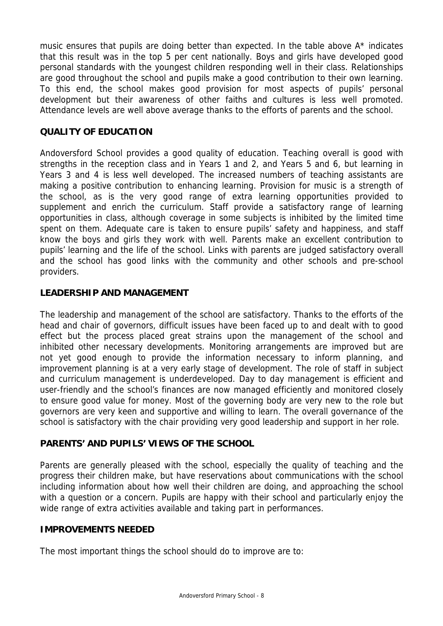music ensures that pupils are doing better than expected. In the table above A\* indicates that this result was in the top 5 per cent nationally. Boys and girls have developed good personal standards with the youngest children responding well in their class. Relationships are good throughout the school and pupils make a good contribution to their own learning. To this end, the school makes good provision for most aspects of pupils' personal development but their awareness of other faiths and cultures is less well promoted. Attendance levels are well above average thanks to the efforts of parents and the school.

## **QUALITY OF EDUCATION**

Andoversford School provides a good quality of education. Teaching overall is good with strengths in the reception class and in Years 1 and 2, and Years 5 and 6, but learning in Years 3 and 4 is less well developed. The increased numbers of teaching assistants are making a positive contribution to enhancing learning. Provision for music is a strength of the school, as is the very good range of extra learning opportunities provided to supplement and enrich the curriculum. Staff provide a satisfactory range of learning opportunities in class, although coverage in some subjects is inhibited by the limited time spent on them. Adequate care is taken to ensure pupils' safety and happiness, and staff know the boys and girls they work with well. Parents make an excellent contribution to pupils' learning and the life of the school. Links with parents are judged satisfactory overall and the school has good links with the community and other schools and pre-school providers.

#### **LEADERSHIP AND MANAGEMENT**

The leadership and management of the school are satisfactory. Thanks to the efforts of the head and chair of governors, difficult issues have been faced up to and dealt with to good effect but the process placed great strains upon the management of the school and inhibited other necessary developments. Monitoring arrangements are improved but are not yet good enough to provide the information necessary to inform planning, and improvement planning is at a very early stage of development. The role of staff in subject and curriculum management is underdeveloped. Day to day management is efficient and user-friendly and the school's finances are now managed efficiently and monitored closely to ensure good value for money. Most of the governing body are very new to the role but governors are very keen and supportive and willing to learn. The overall governance of the school is satisfactory with the chair providing very good leadership and support in her role.

## **PARENTS' AND PUPILS' VIEWS OF THE SCHOOL**

Parents are generally pleased with the school, especially the quality of teaching and the progress their children make, but have reservations about communications with the school including information about how well their children are doing, and approaching the school with a question or a concern. Pupils are happy with their school and particularly enjoy the wide range of extra activities available and taking part in performances.

#### **IMPROVEMENTS NEEDED**

The most important things the school should do to improve are to: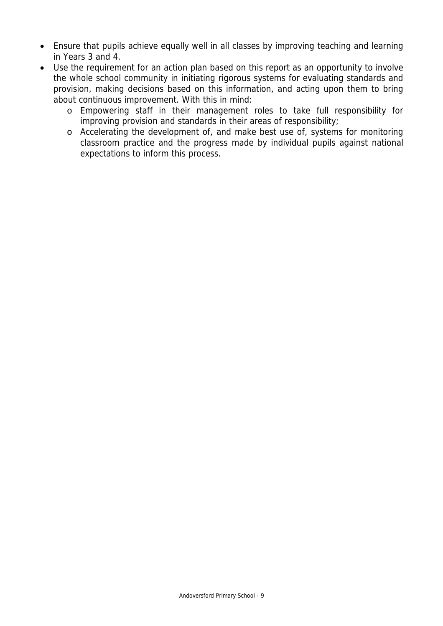- Ensure that pupils achieve equally well in all classes by improving teaching and learning in Years 3 and 4.
- Use the requirement for an action plan based on this report as an opportunity to involve the whole school community in initiating rigorous systems for evaluating standards and provision, making decisions based on this information, and acting upon them to bring about continuous improvement. With this in mind:
	- o Empowering staff in their management roles to take full responsibility for improving provision and standards in their areas of responsibility;
	- o Accelerating the development of, and make best use of, systems for monitoring classroom practice and the progress made by individual pupils against national expectations to inform this process.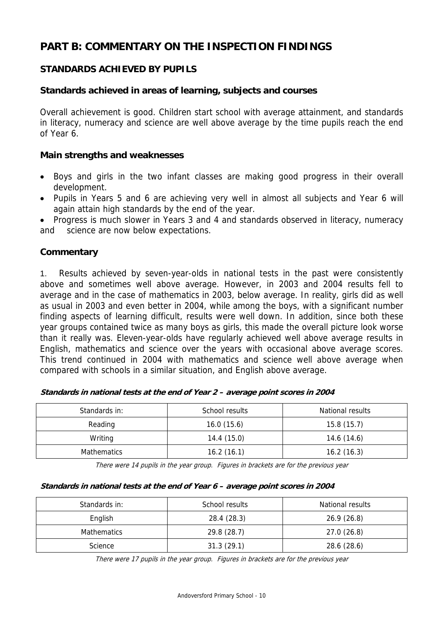# **PART B: COMMENTARY ON THE INSPECTION FINDINGS**

## **STANDARDS ACHIEVED BY PUPILS**

#### **Standards achieved in areas of learning, subjects and courses**

Overall achievement is good. Children start school with average attainment, and standards in literacy, numeracy and science are well above average by the time pupils reach the end of Year 6.

#### **Main strengths and weaknesses**

- Boys and girls in the two infant classes are making good progress in their overall development.
- Pupils in Years 5 and 6 are achieving very well in almost all subjects and Year 6 will again attain high standards by the end of the year.

• Progress is much slower in Years 3 and 4 and standards observed in literacy, numeracy and science are now below expectations.

#### **Commentary**

1. Results achieved by seven-year-olds in national tests in the past were consistently above and sometimes well above average. However, in 2003 and 2004 results fell to average and in the case of mathematics in 2003, below average. In reality, girls did as well as usual in 2003 and even better in 2004, while among the boys, with a significant number finding aspects of learning difficult, results were well down. In addition, since both these year groups contained twice as many boys as girls, this made the overall picture look worse than it really was. Eleven-year-olds have regularly achieved well above average results in English, mathematics and science over the years with occasional above average scores. This trend continued in 2004 with mathematics and science well above average when compared with schools in a similar situation, and English above average.

| Standards in:      | School results | National results |
|--------------------|----------------|------------------|
| Reading            | 16.0(15.6)     | 15.8(15.7)       |
| Writing            | 14.4(15.0)     | 14.6 (14.6)      |
| <b>Mathematics</b> | 16.2(16.1)     | 16.2(16.3)       |

There were 14 pupils in the year group. Figures in brackets are for the previous year

#### **Standards in national tests at the end of Year 6 – average point scores in 2004**

| Standards in:      | School results | National results |
|--------------------|----------------|------------------|
| English            | 28.4 (28.3)    | 26.9(26.8)       |
| <b>Mathematics</b> | 29.8 (28.7)    | 27.0(26.8)       |
| Science            | 31.3(29.1)     | 28.6 (28.6)      |

There were 17 pupils in the year group. Figures in brackets are for the previous year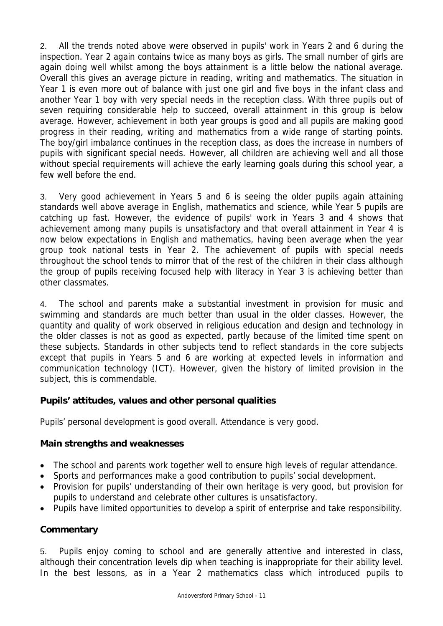2. All the trends noted above were observed in pupils' work in Years 2 and 6 during the inspection. Year 2 again contains twice as many boys as girls. The small number of girls are again doing well whilst among the boys attainment is a little below the national average. Overall this gives an average picture in reading, writing and mathematics. The situation in Year 1 is even more out of balance with just one girl and five boys in the infant class and another Year 1 boy with very special needs in the reception class. With three pupils out of seven requiring considerable help to succeed, overall attainment in this group is below average. However, achievement in both year groups is good and all pupils are making good progress in their reading, writing and mathematics from a wide range of starting points. The boy/girl imbalance continues in the reception class, as does the increase in numbers of pupils with significant special needs. However, all children are achieving well and all those without special requirements will achieve the early learning goals during this school year, a few well before the end.

3. Very good achievement in Years 5 and 6 is seeing the older pupils again attaining standards well above average in English, mathematics and science, while Year 5 pupils are catching up fast. However, the evidence of pupils' work in Years 3 and 4 shows that achievement among many pupils is unsatisfactory and that overall attainment in Year 4 is now below expectations in English and mathematics, having been average when the year group took national tests in Year 2. The achievement of pupils with special needs throughout the school tends to mirror that of the rest of the children in their class although the group of pupils receiving focused help with literacy in Year 3 is achieving better than other classmates.

4. The school and parents make a substantial investment in provision for music and swimming and standards are much better than usual in the older classes. However, the quantity and quality of work observed in religious education and design and technology in the older classes is not as good as expected, partly because of the limited time spent on these subjects. Standards in other subjects tend to reflect standards in the core subjects except that pupils in Years 5 and 6 are working at expected levels in information and communication technology (ICT). However, given the history of limited provision in the subject, this is commendable.

## **Pupils' attitudes, values and other personal qualities**

Pupils' personal development is good overall. Attendance is very good.

#### **Main strengths and weaknesses**

- The school and parents work together well to ensure high levels of regular attendance.
- Sports and performances make a good contribution to pupils' social development.
- Provision for pupils' understanding of their own heritage is very good, but provision for pupils to understand and celebrate other cultures is unsatisfactory.
- Pupils have limited opportunities to develop a spirit of enterprise and take responsibility.

## **Commentary**

5. Pupils enjoy coming to school and are generally attentive and interested in class, although their concentration levels dip when teaching is inappropriate for their ability level. In the best lessons, as in a Year 2 mathematics class which introduced pupils to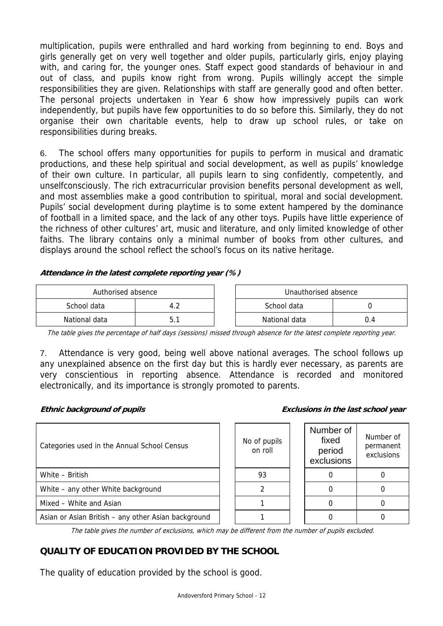multiplication, pupils were enthralled and hard working from beginning to end. Boys and girls generally get on very well together and older pupils, particularly girls, enjoy playing with, and caring for, the younger ones. Staff expect good standards of behaviour in and out of class, and pupils know right from wrong. Pupils willingly accept the simple responsibilities they are given. Relationships with staff are generally good and often better. The personal projects undertaken in Year 6 show how impressively pupils can work independently, but pupils have few opportunities to do so before this. Similarly, they do not organise their own charitable events, help to draw up school rules, or take on responsibilities during breaks.

6. The school offers many opportunities for pupils to perform in musical and dramatic productions, and these help spiritual and social development, as well as pupils' knowledge of their own culture. In particular, all pupils learn to sing confidently, competently, and unselfconsciously. The rich extracurricular provision benefits personal development as well, and most assemblies make a good contribution to spiritual, moral and social development. Pupils' social development during playtime is to some extent hampered by the dominance of football in a limited space, and the lack of any other toys. Pupils have little experience of the richness of other cultures' art, music and literature, and only limited knowledge of other faiths. The library contains only a minimal number of books from other cultures, and displays around the school reflect the school's focus on its native heritage.

#### **Attendance in the latest complete reporting year (%)**

| Authorised absence |  |  | Unauthorised absence |  |  |
|--------------------|--|--|----------------------|--|--|
| School data        |  |  | School data          |  |  |
| National data      |  |  | National data        |  |  |

The table gives the percentage of half days (sessions) missed through absence for the latest complete reporting year.

7. Attendance is very good, being well above national averages. The school follows up any unexplained absence on the first day but this is hardly ever necessary, as parents are very conscientious in reporting absence. Attendance is recorded and monitored electronically, and its importance is strongly promoted to parents.

#### **Ethnic background of pupils Exclusions in the last school year**

| Categories used in the Annual School Census         | No of pupils<br>on roll | Number of<br>fixed<br>period<br>exclusions | Number of<br>permanent<br>exclusions |
|-----------------------------------------------------|-------------------------|--------------------------------------------|--------------------------------------|
| White - British                                     | 93                      |                                            |                                      |
| White - any other White background                  |                         |                                            |                                      |
| Mixed - White and Asian                             |                         |                                            |                                      |
| Asian or Asian British - any other Asian background |                         |                                            |                                      |

The table gives the number of exclusions, which may be different from the number of pupils excluded.

# **QUALITY OF EDUCATION PROVIDED BY THE SCHOOL**

The quality of education provided by the school is good.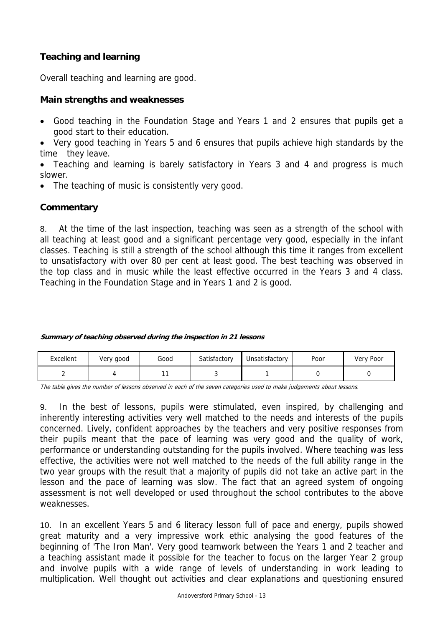## **Teaching and learning**

Overall teaching and learning are good.

## **Main strengths and weaknesses**

- Good teaching in the Foundation Stage and Years 1 and 2 ensures that pupils get a good start to their education.
- Very good teaching in Years 5 and 6 ensures that pupils achieve high standards by the time they leave.
- Teaching and learning is barely satisfactory in Years 3 and 4 and progress is much slower.
- The teaching of music is consistently very good.

#### **Commentary**

8. At the time of the last inspection, teaching was seen as a strength of the school with all teaching at least good and a significant percentage very good, especially in the infant classes. Teaching is still a strength of the school although this time it ranges from excellent to unsatisfactory with over 80 per cent at least good. The best teaching was observed in the top class and in music while the least effective occurred in the Years 3 and 4 class. Teaching in the Foundation Stage and in Years 1 and 2 is good.

#### **Summary of teaching observed during the inspection in 21 lessons**

| Excellent | Very good | Good | Satisfactory | Unsatisfactory | Poor | Very Poor |
|-----------|-----------|------|--------------|----------------|------|-----------|
|           |           |      |              |                |      |           |

The table gives the number of lessons observed in each of the seven categories used to make judgements about lessons.

9. In the best of lessons, pupils were stimulated, even inspired, by challenging and inherently interesting activities very well matched to the needs and interests of the pupils concerned. Lively, confident approaches by the teachers and very positive responses from their pupils meant that the pace of learning was very good and the quality of work, performance or understanding outstanding for the pupils involved. Where teaching was less effective, the activities were not well matched to the needs of the full ability range in the two year groups with the result that a majority of pupils did not take an active part in the lesson and the pace of learning was slow. The fact that an agreed system of ongoing assessment is not well developed or used throughout the school contributes to the above weaknesses.

10. In an excellent Years 5 and 6 literacy lesson full of pace and energy, pupils showed great maturity and a very impressive work ethic analysing the good features of the beginning of 'The Iron Man'. Very good teamwork between the Years 1 and 2 teacher and a teaching assistant made it possible for the teacher to focus on the larger Year 2 group and involve pupils with a wide range of levels of understanding in work leading to multiplication. Well thought out activities and clear explanations and questioning ensured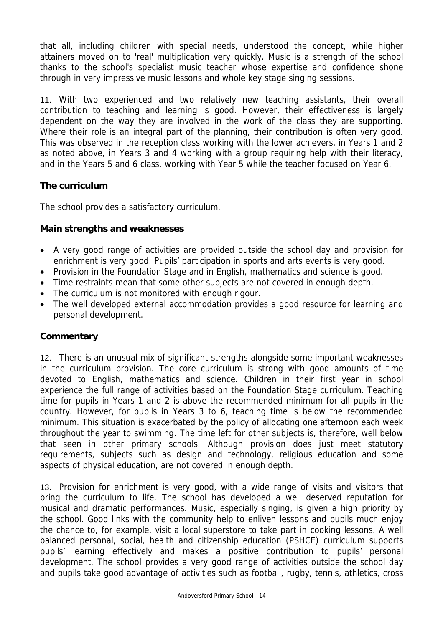that all, including children with special needs, understood the concept, while higher attainers moved on to 'real' multiplication very quickly. Music is a strength of the school thanks to the school's specialist music teacher whose expertise and confidence shone through in very impressive music lessons and whole key stage singing sessions.

11. With two experienced and two relatively new teaching assistants, their overall contribution to teaching and learning is good. However, their effectiveness is largely dependent on the way they are involved in the work of the class they are supporting. Where their role is an integral part of the planning, their contribution is often very good. This was observed in the reception class working with the lower achievers, in Years 1 and 2 as noted above, in Years 3 and 4 working with a group requiring help with their literacy, and in the Years 5 and 6 class, working with Year 5 while the teacher focused on Year 6.

#### **The curriculum**

The school provides a satisfactory curriculum.

#### **Main strengths and weaknesses**

- A very good range of activities are provided outside the school day and provision for enrichment is very good. Pupils' participation in sports and arts events is very good.
- Provision in the Foundation Stage and in English, mathematics and science is good.
- Time restraints mean that some other subjects are not covered in enough depth.
- The curriculum is not monitored with enough rigour.
- The well developed external accommodation provides a good resource for learning and personal development.

#### **Commentary**

12. There is an unusual mix of significant strengths alongside some important weaknesses in the curriculum provision. The core curriculum is strong with good amounts of time devoted to English, mathematics and science. Children in their first year in school experience the full range of activities based on the Foundation Stage curriculum. Teaching time for pupils in Years 1 and 2 is above the recommended minimum for all pupils in the country. However, for pupils in Years 3 to 6, teaching time is below the recommended minimum. This situation is exacerbated by the policy of allocating one afternoon each week throughout the year to swimming. The time left for other subjects is, therefore, well below that seen in other primary schools. Although provision does just meet statutory requirements, subjects such as design and technology, religious education and some aspects of physical education, are not covered in enough depth.

13. Provision for enrichment is very good, with a wide range of visits and visitors that bring the curriculum to life. The school has developed a well deserved reputation for musical and dramatic performances. Music, especially singing, is given a high priority by the school. Good links with the community help to enliven lessons and pupils much enjoy the chance to, for example, visit a local superstore to take part in cooking lessons. A well balanced personal, social, health and citizenship education (PSHCE) curriculum supports pupils' learning effectively and makes a positive contribution to pupils' personal development. The school provides a very good range of activities outside the school day and pupils take good advantage of activities such as football, rugby, tennis, athletics, cross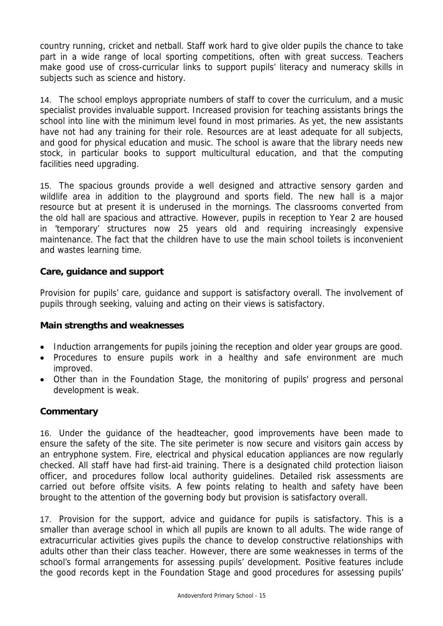country running, cricket and netball. Staff work hard to give older pupils the chance to take part in a wide range of local sporting competitions, often with great success. Teachers make good use of cross-curricular links to support pupils' literacy and numeracy skills in subjects such as science and history.

14. The school employs appropriate numbers of staff to cover the curriculum, and a music specialist provides invaluable support. Increased provision for teaching assistants brings the school into line with the minimum level found in most primaries. As yet, the new assistants have not had any training for their role. Resources are at least adequate for all subjects, and good for physical education and music. The school is aware that the library needs new stock, in particular books to support multicultural education, and that the computing facilities need upgrading.

15. The spacious grounds provide a well designed and attractive sensory garden and wildlife area in addition to the playground and sports field. The new hall is a major resource but at present it is underused in the mornings. The classrooms converted from the old hall are spacious and attractive. However, pupils in reception to Year 2 are housed in 'temporary' structures now 25 years old and requiring increasingly expensive maintenance. The fact that the children have to use the main school toilets is inconvenient and wastes learning time.

#### **Care, guidance and support**

Provision for pupils' care, guidance and support is satisfactory overall. The involvement of pupils through seeking, valuing and acting on their views is satisfactory.

#### **Main strengths and weaknesses**

- Induction arrangements for pupils joining the reception and older year groups are good.
- Procedures to ensure pupils work in a healthy and safe environment are much improved.
- Other than in the Foundation Stage, the monitoring of pupils' progress and personal development is weak.

#### **Commentary**

16. Under the guidance of the headteacher, good improvements have been made to ensure the safety of the site. The site perimeter is now secure and visitors gain access by an entryphone system. Fire, electrical and physical education appliances are now regularly checked. All staff have had first-aid training. There is a designated child protection liaison officer, and procedures follow local authority guidelines. Detailed risk assessments are carried out before offsite visits. A few points relating to health and safety have been brought to the attention of the governing body but provision is satisfactory overall.

17. Provision for the support, advice and guidance for pupils is satisfactory. This is a smaller than average school in which all pupils are known to all adults. The wide range of extracurricular activities gives pupils the chance to develop constructive relationships with adults other than their class teacher. However, there are some weaknesses in terms of the school's formal arrangements for assessing pupils' development. Positive features include the good records kept in the Foundation Stage and good procedures for assessing pupils'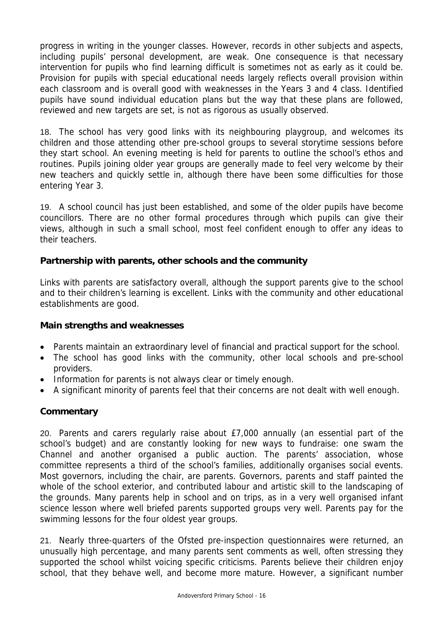progress in writing in the younger classes. However, records in other subjects and aspects, including pupils' personal development, are weak. One consequence is that necessary intervention for pupils who find learning difficult is sometimes not as early as it could be. Provision for pupils with special educational needs largely reflects overall provision within each classroom and is overall good with weaknesses in the Years 3 and 4 class. Identified pupils have sound individual education plans but the way that these plans are followed, reviewed and new targets are set, is not as rigorous as usually observed.

18. The school has very good links with its neighbouring playgroup, and welcomes its children and those attending other pre-school groups to several storytime sessions before they start school. An evening meeting is held for parents to outline the school's ethos and routines. Pupils joining older year groups are generally made to feel very welcome by their new teachers and quickly settle in, although there have been some difficulties for those entering Year 3.

19. A school council has just been established, and some of the older pupils have become councillors. There are no other formal procedures through which pupils can give their views, although in such a small school, most feel confident enough to offer any ideas to their teachers.

#### **Partnership with parents, other schools and the community**

Links with parents are satisfactory overall, although the support parents give to the school and to their children's learning is excellent. Links with the community and other educational establishments are good.

#### **Main strengths and weaknesses**

- Parents maintain an extraordinary level of financial and practical support for the school.
- The school has good links with the community, other local schools and pre-school providers.
- Information for parents is not always clear or timely enough.
- A significant minority of parents feel that their concerns are not dealt with well enough.

## **Commentary**

20. Parents and carers regularly raise about £7,000 annually (an essential part of the school's budget) and are constantly looking for new ways to fundraise: one swam the Channel and another organised a public auction. The parents' association, whose committee represents a third of the school's families, additionally organises social events. Most governors, including the chair, are parents. Governors, parents and staff painted the whole of the school exterior, and contributed labour and artistic skill to the landscaping of the grounds. Many parents help in school and on trips, as in a very well organised infant science lesson where well briefed parents supported groups very well. Parents pay for the swimming lessons for the four oldest year groups.

21. Nearly three-quarters of the Ofsted pre-inspection questionnaires were returned, an unusually high percentage, and many parents sent comments as well, often stressing they supported the school whilst voicing specific criticisms. Parents believe their children enjoy school, that they behave well, and become more mature. However, a significant number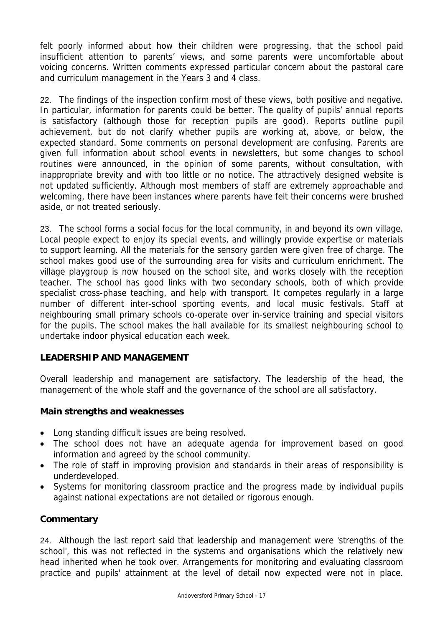felt poorly informed about how their children were progressing, that the school paid insufficient attention to parents' views, and some parents were uncomfortable about voicing concerns. Written comments expressed particular concern about the pastoral care and curriculum management in the Years 3 and 4 class.

22. The findings of the inspection confirm most of these views, both positive and negative. In particular, information for parents could be better. The quality of pupils' annual reports is satisfactory (although those for reception pupils are good). Reports outline pupil achievement, but do not clarify whether pupils are working at, above, or below, the expected standard. Some comments on personal development are confusing. Parents are given full information about school events in newsletters, but some changes to school routines were announced, in the opinion of some parents, without consultation, with inappropriate brevity and with too little or no notice. The attractively designed website is not updated sufficiently. Although most members of staff are extremely approachable and welcoming, there have been instances where parents have felt their concerns were brushed aside, or not treated seriously.

23. The school forms a social focus for the local community, in and beyond its own village. Local people expect to enjoy its special events, and willingly provide expertise or materials to support learning. All the materials for the sensory garden were given free of charge. The school makes good use of the surrounding area for visits and curriculum enrichment. The village playgroup is now housed on the school site, and works closely with the reception teacher. The school has good links with two secondary schools, both of which provide specialist cross-phase teaching, and help with transport. It competes regularly in a large number of different inter-school sporting events, and local music festivals. Staff at neighbouring small primary schools co-operate over in-service training and special visitors for the pupils. The school makes the hall available for its smallest neighbouring school to undertake indoor physical education each week.

## **LEADERSHIP AND MANAGEMENT**

Overall leadership and management are satisfactory. The leadership of the head, the management of the whole staff and the governance of the school are all satisfactory.

#### **Main strengths and weaknesses**

- Long standing difficult issues are being resolved.
- The school does not have an adequate agenda for improvement based on good information and agreed by the school community.
- The role of staff in improving provision and standards in their areas of responsibility is underdeveloped.
- Systems for monitoring classroom practice and the progress made by individual pupils against national expectations are not detailed or rigorous enough.

## **Commentary**

24. Although the last report said that leadership and management were 'strengths of the school', this was not reflected in the systems and organisations which the relatively new head inherited when he took over. Arrangements for monitoring and evaluating classroom practice and pupils' attainment at the level of detail now expected were not in place.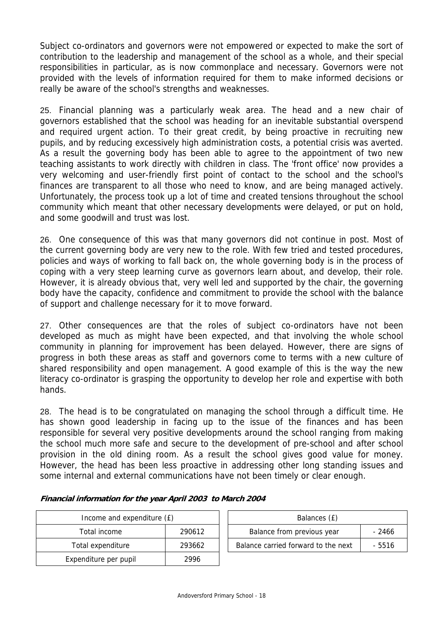Subject co-ordinators and governors were not empowered or expected to make the sort of contribution to the leadership and management of the school as a whole, and their special responsibilities in particular, as is now commonplace and necessary. Governors were not provided with the levels of information required for them to make informed decisions or really be aware of the school's strengths and weaknesses.

25. Financial planning was a particularly weak area. The head and a new chair of governors established that the school was heading for an inevitable substantial overspend and required urgent action. To their great credit, by being proactive in recruiting new pupils, and by reducing excessively high administration costs, a potential crisis was averted. As a result the governing body has been able to agree to the appointment of two new teaching assistants to work directly with children in class. The 'front office' now provides a very welcoming and user-friendly first point of contact to the school and the school's finances are transparent to all those who need to know, and are being managed actively. Unfortunately, the process took up a lot of time and created tensions throughout the school community which meant that other necessary developments were delayed, or put on hold, and some goodwill and trust was lost.

26. One consequence of this was that many governors did not continue in post. Most of the current governing body are very new to the role. With few tried and tested procedures, policies and ways of working to fall back on, the whole governing body is in the process of coping with a very steep learning curve as governors learn about, and develop, their role. However, it is already obvious that, very well led and supported by the chair, the governing body have the capacity, confidence and commitment to provide the school with the balance of support and challenge necessary for it to move forward.

27. Other consequences are that the roles of subject co-ordinators have not been developed as much as might have been expected, and that involving the whole school community in planning for improvement has been delayed. However, there are signs of progress in both these areas as staff and governors come to terms with a new culture of shared responsibility and open management. A good example of this is the way the new literacy co-ordinator is grasping the opportunity to develop her role and expertise with both hands.

28. The head is to be congratulated on managing the school through a difficult time. He has shown good leadership in facing up to the issue of the finances and has been responsible for several very positive developments around the school ranging from making the school much more safe and secure to the development of pre-school and after school provision in the old dining room. As a result the school gives good value for money. However, the head has been less proactive in addressing other long standing issues and some internal and external communications have not been timely or clear enough.

| Income and expenditure (£) | Balances (£) |                                  |
|----------------------------|--------------|----------------------------------|
| Total income               | 290612       | Balance from previous year       |
| Total expenditure          | 293662       | Balance carried forward to the r |
| Expenditure per pupil      | 2996         |                                  |

| Income and expenditure (£) |        |  | Balances (£)                        |        |
|----------------------------|--------|--|-------------------------------------|--------|
| Total income               | 290612 |  | Balance from previous year          | - 2466 |
| Total expenditure          | 293662 |  | Balance carried forward to the next | - 5516 |

#### **Financial information for the year April 2003 to March 2004**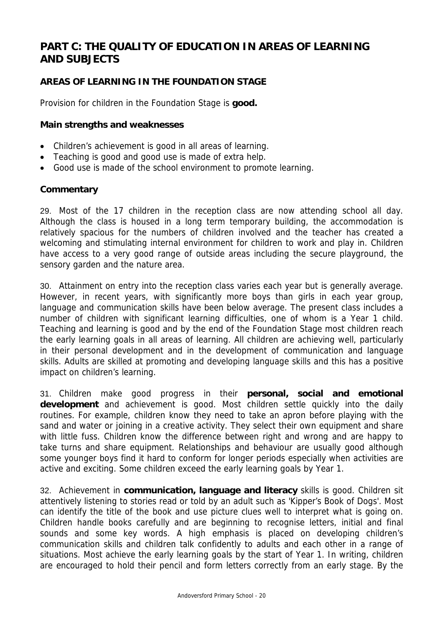# **PART C: THE QUALITY OF EDUCATION IN AREAS OF LEARNING AND SUBJECTS**

## **AREAS OF LEARNING IN THE FOUNDATION STAGE**

Provision for children in the Foundation Stage is **good.**

#### **Main strengths and weaknesses**

- Children's achievement is good in all areas of learning.
- Teaching is good and good use is made of extra help.
- Good use is made of the school environment to promote learning.

#### **Commentary**

29. Most of the 17 children in the reception class are now attending school all day. Although the class is housed in a long term temporary building, the accommodation is relatively spacious for the numbers of children involved and the teacher has created a welcoming and stimulating internal environment for children to work and play in. Children have access to a very good range of outside areas including the secure playground, the sensory garden and the nature area.

30. Attainment on entry into the reception class varies each year but is generally average. However, in recent years, with significantly more boys than girls in each year group, language and communication skills have been below average. The present class includes a number of children with significant learning difficulties, one of whom is a Year 1 child. Teaching and learning is good and by the end of the Foundation Stage most children reach the early learning goals in all areas of learning. All children are achieving well, particularly in their personal development and in the development of communication and language skills. Adults are skilled at promoting and developing language skills and this has a positive impact on children's learning.

31. Children make good progress in their **personal, social and emotional development** and achievement is good. Most children settle quickly into the daily routines. For example, children know they need to take an apron before playing with the sand and water or joining in a creative activity. They select their own equipment and share with little fuss. Children know the difference between right and wrong and are happy to take turns and share equipment. Relationships and behaviour are usually good although some younger boys find it hard to conform for longer periods especially when activities are active and exciting. Some children exceed the early learning goals by Year 1.

32. Achievement in **communication, language and literacy** skills is good. Children sit attentively listening to stories read or told by an adult such as 'Kipper's Book of Dogs'. Most can identify the title of the book and use picture clues well to interpret what is going on. Children handle books carefully and are beginning to recognise letters, initial and final sounds and some key words. A high emphasis is placed on developing children's communication skills and children talk confidently to adults and each other in a range of situations. Most achieve the early learning goals by the start of Year 1. In writing, children are encouraged to hold their pencil and form letters correctly from an early stage. By the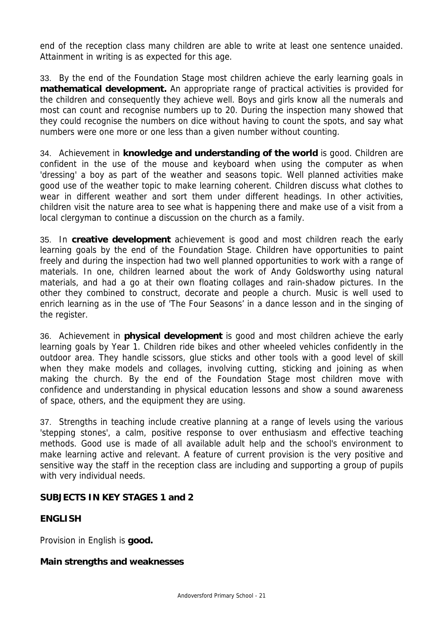end of the reception class many children are able to write at least one sentence unaided. Attainment in writing is as expected for this age.

33. By the end of the Foundation Stage most children achieve the early learning goals in **mathematical development.** An appropriate range of practical activities is provided for the children and consequently they achieve well. Boys and girls know all the numerals and most can count and recognise numbers up to 20. During the inspection many showed that they could recognise the numbers on dice without having to count the spots, and say what numbers were one more or one less than a given number without counting.

34. Achievement in **knowledge and understanding of the world** is good. Children are confident in the use of the mouse and keyboard when using the computer as when 'dressing' a boy as part of the weather and seasons topic. Well planned activities make good use of the weather topic to make learning coherent. Children discuss what clothes to wear in different weather and sort them under different headings. In other activities, children visit the nature area to see what is happening there and make use of a visit from a local clergyman to continue a discussion on the church as a family.

35. In **creative development** achievement is good and most children reach the early learning goals by the end of the Foundation Stage. Children have opportunities to paint freely and during the inspection had two well planned opportunities to work with a range of materials. In one, children learned about the work of Andy Goldsworthy using natural materials, and had a go at their own floating collages and rain-shadow pictures. In the other they combined to construct, decorate and people a church. Music is well used to enrich learning as in the use of 'The Four Seasons' in a dance lesson and in the singing of the register.

36. Achievement in **physical development** is good and most children achieve the early learning goals by Year 1. Children ride bikes and other wheeled vehicles confidently in the outdoor area. They handle scissors, glue sticks and other tools with a good level of skill when they make models and collages, involving cutting, sticking and joining as when making the church. By the end of the Foundation Stage most children move with confidence and understanding in physical education lessons and show a sound awareness of space, others, and the equipment they are using.

37. Strengths in teaching include creative planning at a range of levels using the various 'stepping stones', a calm, positive response to over enthusiasm and effective teaching methods. Good use is made of all available adult help and the school's environment to make learning active and relevant. A feature of current provision is the very positive and sensitive way the staff in the reception class are including and supporting a group of pupils with very individual needs.

#### **SUBJECTS IN KEY STAGES 1 and 2**

#### **ENGLISH**

Provision in English is **good.** 

#### **Main strengths and weaknesses**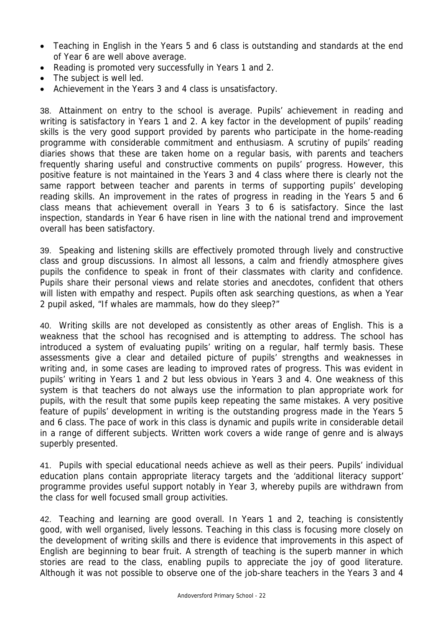- Teaching in English in the Years 5 and 6 class is outstanding and standards at the end of Year 6 are well above average.
- Reading is promoted very successfully in Years 1 and 2.
- The subject is well led.
- Achievement in the Years 3 and 4 class is unsatisfactory.

38. Attainment on entry to the school is average. Pupils' achievement in reading and writing is satisfactory in Years 1 and 2. A key factor in the development of pupils' reading skills is the very good support provided by parents who participate in the home-reading programme with considerable commitment and enthusiasm. A scrutiny of pupils' reading diaries shows that these are taken home on a regular basis, with parents and teachers frequently sharing useful and constructive comments on pupils' progress. However, this positive feature is not maintained in the Years 3 and 4 class where there is clearly not the same rapport between teacher and parents in terms of supporting pupils' developing reading skills. An improvement in the rates of progress in reading in the Years 5 and 6 class means that achievement overall in Years 3 to 6 is satisfactory. Since the last inspection, standards in Year 6 have risen in line with the national trend and improvement overall has been satisfactory.

39. Speaking and listening skills are effectively promoted through lively and constructive class and group discussions. In almost all lessons, a calm and friendly atmosphere gives pupils the confidence to speak in front of their classmates with clarity and confidence. Pupils share their personal views and relate stories and anecdotes, confident that others will listen with empathy and respect. Pupils often ask searching questions, as when a Year 2 pupil asked, "If whales are mammals, how do they sleep?"

40. Writing skills are not developed as consistently as other areas of English. This is a weakness that the school has recognised and is attempting to address. The school has introduced a system of evaluating pupils' writing on a regular, half termly basis. These assessments give a clear and detailed picture of pupils' strengths and weaknesses in writing and, in some cases are leading to improved rates of progress. This was evident in pupils' writing in Years 1 and 2 but less obvious in Years 3 and 4. One weakness of this system is that teachers do not always use the information to plan appropriate work for pupils, with the result that some pupils keep repeating the same mistakes. A very positive feature of pupils' development in writing is the outstanding progress made in the Years 5 and 6 class. The pace of work in this class is dynamic and pupils write in considerable detail in a range of different subjects. Written work covers a wide range of genre and is always superbly presented.

41. Pupils with special educational needs achieve as well as their peers. Pupils' individual education plans contain appropriate literacy targets and the 'additional literacy support' programme provides useful support notably in Year 3, whereby pupils are withdrawn from the class for well focused small group activities.

42. Teaching and learning are good overall. In Years 1 and 2, teaching is consistently good, with well organised, lively lessons. Teaching in this class is focusing more closely on the development of writing skills and there is evidence that improvements in this aspect of English are beginning to bear fruit. A strength of teaching is the superb manner in which stories are read to the class, enabling pupils to appreciate the joy of good literature. Although it was not possible to observe one of the job-share teachers in the Years 3 and 4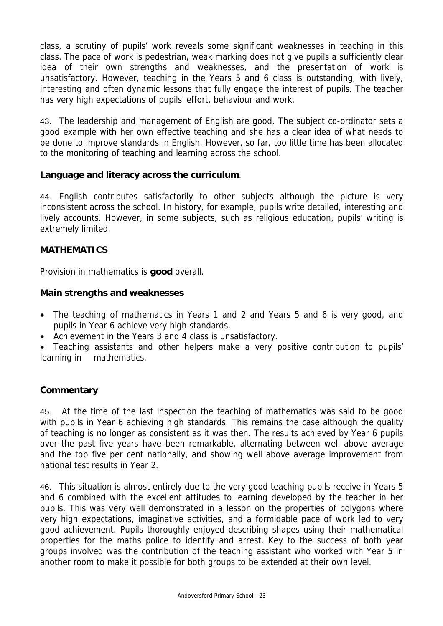class, a scrutiny of pupils' work reveals some significant weaknesses in teaching in this class. The pace of work is pedestrian, weak marking does not give pupils a sufficiently clear idea of their own strengths and weaknesses, and the presentation of work is unsatisfactory. However, teaching in the Years 5 and 6 class is outstanding, with lively, interesting and often dynamic lessons that fully engage the interest of pupils. The teacher has very high expectations of pupils' effort, behaviour and work.

43. The leadership and management of English are good. The subject co-ordinator sets a good example with her own effective teaching and she has a clear idea of what needs to be done to improve standards in English. However, so far, too little time has been allocated to the monitoring of teaching and learning across the school.

#### **Language and literacy across the curriculum**.

44. English contributes satisfactorily to other subjects although the picture is very inconsistent across the school. In history, for example, pupils write detailed, interesting and lively accounts. However, in some subjects, such as religious education, pupils' writing is extremely limited.

#### **MATHEMATICS**

Provision in mathematics is **good** overall.

#### **Main strengths and weaknesses**

- The teaching of mathematics in Years 1 and 2 and Years 5 and 6 is very good, and pupils in Year 6 achieve very high standards.
- Achievement in the Years 3 and 4 class is unsatisfactory.

• Teaching assistants and other helpers make a very positive contribution to pupils' learning in mathematics.

#### **Commentary**

45. At the time of the last inspection the teaching of mathematics was said to be good with pupils in Year 6 achieving high standards. This remains the case although the quality of teaching is no longer as consistent as it was then. The results achieved by Year 6 pupils over the past five years have been remarkable, alternating between well above average and the top five per cent nationally, and showing well above average improvement from national test results in Year 2.

46. This situation is almost entirely due to the very good teaching pupils receive in Years 5 and 6 combined with the excellent attitudes to learning developed by the teacher in her pupils. This was very well demonstrated in a lesson on the properties of polygons where very high expectations, imaginative activities, and a formidable pace of work led to very good achievement. Pupils thoroughly enjoyed describing shapes using their mathematical properties for the maths police to identify and arrest. Key to the success of both year groups involved was the contribution of the teaching assistant who worked with Year 5 in another room to make it possible for both groups to be extended at their own level.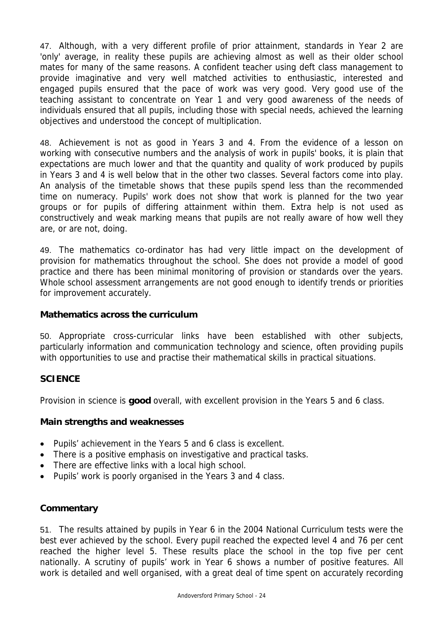47. Although, with a very different profile of prior attainment, standards in Year 2 are 'only' average, in reality these pupils are achieving almost as well as their older school mates for many of the same reasons. A confident teacher using deft class management to provide imaginative and very well matched activities to enthusiastic, interested and engaged pupils ensured that the pace of work was very good. Very good use of the teaching assistant to concentrate on Year 1 and very good awareness of the needs of individuals ensured that all pupils, including those with special needs, achieved the learning objectives and understood the concept of multiplication.

48. Achievement is not as good in Years 3 and 4. From the evidence of a lesson on working with consecutive numbers and the analysis of work in pupils' books, it is plain that expectations are much lower and that the quantity and quality of work produced by pupils in Years 3 and 4 is well below that in the other two classes. Several factors come into play. An analysis of the timetable shows that these pupils spend less than the recommended time on numeracy. Pupils' work does not show that work is planned for the two year groups or for pupils of differing attainment within them. Extra help is not used as constructively and weak marking means that pupils are not really aware of how well they are, or are not, doing.

49. The mathematics co-ordinator has had very little impact on the development of provision for mathematics throughout the school. She does not provide a model of good practice and there has been minimal monitoring of provision or standards over the years. Whole school assessment arrangements are not good enough to identify trends or priorities for improvement accurately.

#### **Mathematics across the curriculum**

50. Appropriate cross-curricular links have been established with other subjects, particularly information and communication technology and science, often providing pupils with opportunities to use and practise their mathematical skills in practical situations.

## **SCIENCE**

Provision in science is **good** overall, with excellent provision in the Years 5 and 6 class.

#### **Main strengths and weaknesses**

- Pupils' achievement in the Years 5 and 6 class is excellent.
- There is a positive emphasis on investigative and practical tasks.
- There are effective links with a local high school.
- Pupils' work is poorly organised in the Years 3 and 4 class.

## **Commentary**

51. The results attained by pupils in Year 6 in the 2004 National Curriculum tests were the best ever achieved by the school. Every pupil reached the expected level 4 and 76 per cent reached the higher level 5. These results place the school in the top five per cent nationally. A scrutiny of pupils' work in Year 6 shows a number of positive features. All work is detailed and well organised, with a great deal of time spent on accurately recording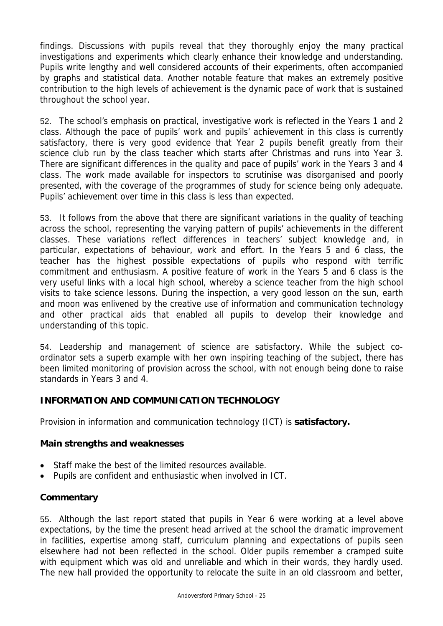findings. Discussions with pupils reveal that they thoroughly enjoy the many practical investigations and experiments which clearly enhance their knowledge and understanding. Pupils write lengthy and well considered accounts of their experiments, often accompanied by graphs and statistical data. Another notable feature that makes an extremely positive contribution to the high levels of achievement is the dynamic pace of work that is sustained throughout the school year.

52. The school's emphasis on practical, investigative work is reflected in the Years 1 and 2 class. Although the pace of pupils' work and pupils' achievement in this class is currently satisfactory, there is very good evidence that Year 2 pupils benefit greatly from their science club run by the class teacher which starts after Christmas and runs into Year 3. There are significant differences in the quality and pace of pupils' work in the Years 3 and 4 class. The work made available for inspectors to scrutinise was disorganised and poorly presented, with the coverage of the programmes of study for science being only adequate. Pupils' achievement over time in this class is less than expected.

53. It follows from the above that there are significant variations in the quality of teaching across the school, representing the varying pattern of pupils' achievements in the different classes. These variations reflect differences in teachers' subject knowledge and, in particular, expectations of behaviour, work and effort. In the Years 5 and 6 class, the teacher has the highest possible expectations of pupils who respond with terrific commitment and enthusiasm. A positive feature of work in the Years 5 and 6 class is the very useful links with a local high school, whereby a science teacher from the high school visits to take science lessons. During the inspection, a very good lesson on the sun, earth and moon was enlivened by the creative use of information and communication technology and other practical aids that enabled all pupils to develop their knowledge and understanding of this topic.

54. Leadership and management of science are satisfactory. While the subject coordinator sets a superb example with her own inspiring teaching of the subject, there has been limited monitoring of provision across the school, with not enough being done to raise standards in Years 3 and 4.

#### **INFORMATION AND COMMUNICATION TECHNOLOGY**

Provision in information and communication technology (ICT) is **satisfactory.**

#### **Main strengths and weaknesses**

- Staff make the best of the limited resources available.
- Pupils are confident and enthusiastic when involved in ICT.

#### **Commentary**

55. Although the last report stated that pupils in Year 6 were working at a level above expectations, by the time the present head arrived at the school the dramatic improvement in facilities, expertise among staff, curriculum planning and expectations of pupils seen elsewhere had not been reflected in the school. Older pupils remember a cramped suite with equipment which was old and unreliable and which in their words, they hardly used. The new hall provided the opportunity to relocate the suite in an old classroom and better,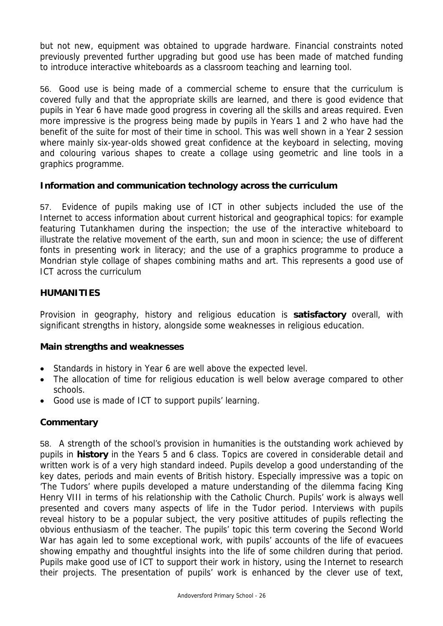but not new, equipment was obtained to upgrade hardware. Financial constraints noted previously prevented further upgrading but good use has been made of matched funding to introduce interactive whiteboards as a classroom teaching and learning tool.

56. Good use is being made of a commercial scheme to ensure that the curriculum is covered fully and that the appropriate skills are learned, and there is good evidence that pupils in Year 6 have made good progress in covering all the skills and areas required. Even more impressive is the progress being made by pupils in Years 1 and 2 who have had the benefit of the suite for most of their time in school. This was well shown in a Year 2 session where mainly six-year-olds showed great confidence at the keyboard in selecting, moving and colouring various shapes to create a collage using geometric and line tools in a graphics programme.

## **Information and communication technology across the curriculum**

57. Evidence of pupils making use of ICT in other subjects included the use of the Internet to access information about current historical and geographical topics: for example featuring Tutankhamen during the inspection; the use of the interactive whiteboard to illustrate the relative movement of the earth, sun and moon in science; the use of different fonts in presenting work in literacy; and the use of a graphics programme to produce a Mondrian style collage of shapes combining maths and art. This represents a good use of ICT across the curriculum

#### **HUMANITIES**

Provision in geography, history and religious education is **satisfactory** overall, with significant strengths in history, alongside some weaknesses in religious education.

#### **Main strengths and weaknesses**

- Standards in history in Year 6 are well above the expected level.
- The allocation of time for religious education is well below average compared to other schools.
- Good use is made of ICT to support pupils' learning.

## **Commentary**

58. A strength of the school's provision in humanities is the outstanding work achieved by pupils in **history** in the Years 5 and 6 class. Topics are covered in considerable detail and written work is of a very high standard indeed. Pupils develop a good understanding of the key dates, periods and main events of British history. Especially impressive was a topic on 'The Tudors' where pupils developed a mature understanding of the dilemma facing King Henry VIII in terms of his relationship with the Catholic Church. Pupils' work is always well presented and covers many aspects of life in the Tudor period. Interviews with pupils reveal history to be a popular subject, the very positive attitudes of pupils reflecting the obvious enthusiasm of the teacher. The pupils' topic this term covering the Second World War has again led to some exceptional work, with pupils' accounts of the life of evacuees showing empathy and thoughtful insights into the life of some children during that period. Pupils make good use of ICT to support their work in history, using the Internet to research their projects. The presentation of pupils' work is enhanced by the clever use of text,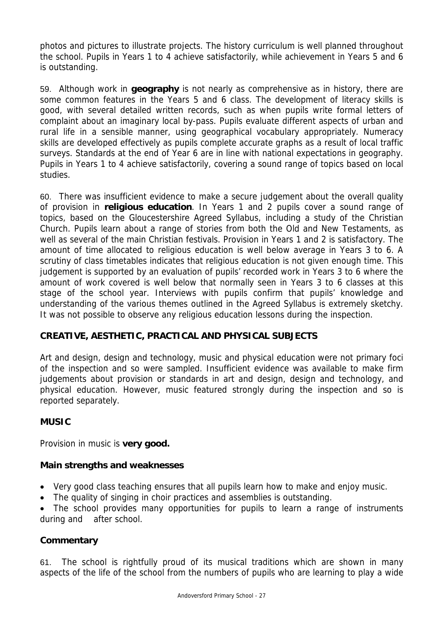photos and pictures to illustrate projects. The history curriculum is well planned throughout the school. Pupils in Years 1 to 4 achieve satisfactorily, while achievement in Years 5 and 6 is outstanding.

59. Although work in **geography** is not nearly as comprehensive as in history, there are some common features in the Years 5 and 6 class. The development of literacy skills is good, with several detailed written records, such as when pupils write formal letters of complaint about an imaginary local by-pass. Pupils evaluate different aspects of urban and rural life in a sensible manner, using geographical vocabulary appropriately. Numeracy skills are developed effectively as pupils complete accurate graphs as a result of local traffic surveys. Standards at the end of Year 6 are in line with national expectations in geography. Pupils in Years 1 to 4 achieve satisfactorily, covering a sound range of topics based on local studies.

60. There was insufficient evidence to make a secure judgement about the overall quality of provision in **religious education**. In Years 1 and 2 pupils cover a sound range of topics, based on the Gloucestershire Agreed Syllabus, including a study of the Christian Church. Pupils learn about a range of stories from both the Old and New Testaments, as well as several of the main Christian festivals. Provision in Years 1 and 2 is satisfactory. The amount of time allocated to religious education is well below average in Years 3 to 6. A scrutiny of class timetables indicates that religious education is not given enough time. This judgement is supported by an evaluation of pupils' recorded work in Years 3 to 6 where the amount of work covered is well below that normally seen in Years 3 to 6 classes at this stage of the school year. Interviews with pupils confirm that pupils' knowledge and understanding of the various themes outlined in the Agreed Syllabus is extremely sketchy. It was not possible to observe any religious education lessons during the inspection.

## **CREATIVE, AESTHETIC, PRACTICAL AND PHYSICAL SUBJECTS**

Art and design, design and technology, music and physical education were not primary foci of the inspection and so were sampled. Insufficient evidence was available to make firm judgements about provision or standards in art and design, design and technology, and physical education. However, music featured strongly during the inspection and so is reported separately.

## **MUSIC**

Provision in music is **very good.** 

## **Main strengths and weaknesses**

- Very good class teaching ensures that all pupils learn how to make and enjoy music.
- The quality of singing in choir practices and assemblies is outstanding.

• The school provides many opportunities for pupils to learn a range of instruments during and after school.

## **Commentary**

61. The school is rightfully proud of its musical traditions which are shown in many aspects of the life of the school from the numbers of pupils who are learning to play a wide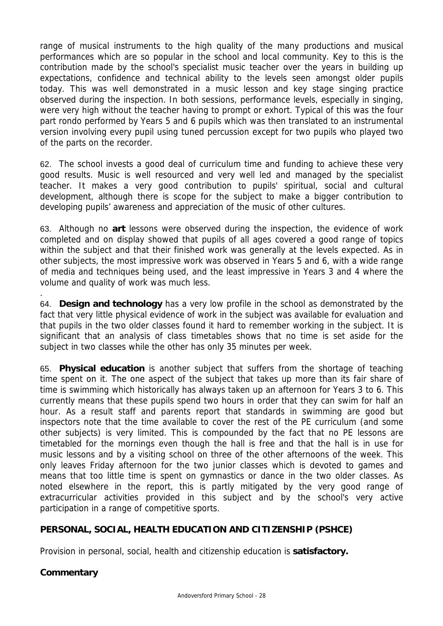range of musical instruments to the high quality of the many productions and musical performances which are so popular in the school and local community. Key to this is the contribution made by the school's specialist music teacher over the years in building up expectations, confidence and technical ability to the levels seen amongst older pupils today. This was well demonstrated in a music lesson and key stage singing practice observed during the inspection. In both sessions, performance levels, especially in singing, were very high without the teacher having to prompt or exhort. Typical of this was the four part rondo performed by Years 5 and 6 pupils which was then translated to an instrumental version involving every pupil using tuned percussion except for two pupils who played two of the parts on the recorder.

62. The school invests a good deal of curriculum time and funding to achieve these very good results. Music is well resourced and very well led and managed by the specialist teacher. It makes a very good contribution to pupils' spiritual, social and cultural development, although there is scope for the subject to make a bigger contribution to developing pupils' awareness and appreciation of the music of other cultures.

63. Although no **art** lessons were observed during the inspection, the evidence of work completed and on display showed that pupils of all ages covered a good range of topics within the subject and that their finished work was generally at the levels expected. As in other subjects, the most impressive work was observed in Years 5 and 6, with a wide range of media and techniques being used, and the least impressive in Years 3 and 4 where the volume and quality of work was much less.

64. **Design and technology** has a very low profile in the school as demonstrated by the fact that very little physical evidence of work in the subject was available for evaluation and that pupils in the two older classes found it hard to remember working in the subject. It is significant that an analysis of class timetables shows that no time is set aside for the subject in two classes while the other has only 35 minutes per week.

65. **Physical education** is another subject that suffers from the shortage of teaching time spent on it. The one aspect of the subject that takes up more than its fair share of time is swimming which historically has always taken up an afternoon for Years 3 to 6. This currently means that these pupils spend two hours in order that they can swim for half an hour. As a result staff and parents report that standards in swimming are good but inspectors note that the time available to cover the rest of the PE curriculum (and some other subjects) is very limited. This is compounded by the fact that no PE lessons are timetabled for the mornings even though the hall is free and that the hall is in use for music lessons and by a visiting school on three of the other afternoons of the week. This only leaves Friday afternoon for the two junior classes which is devoted to games and means that too little time is spent on gymnastics or dance in the two older classes. As noted elsewhere in the report, this is partly mitigated by the very good range of extracurricular activities provided in this subject and by the school's very active participation in a range of competitive sports.

# **PERSONAL, SOCIAL, HEALTH EDUCATION AND CITIZENSHIP (PSHCE)**

Provision in personal, social, health and citizenship education is **satisfactory.** 

## **Commentary**

.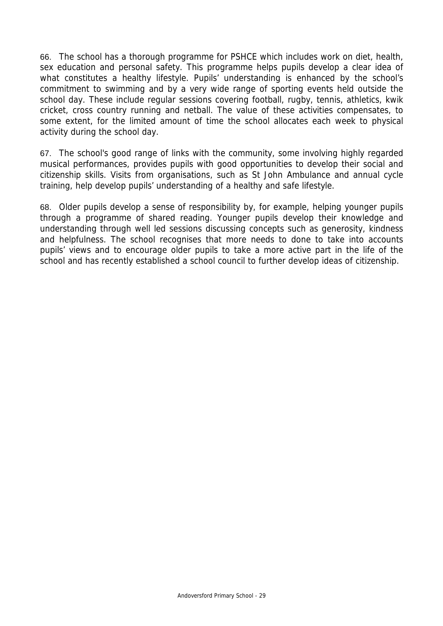66. The school has a thorough programme for PSHCE which includes work on diet, health, sex education and personal safety. This programme helps pupils develop a clear idea of what constitutes a healthy lifestyle. Pupils' understanding is enhanced by the school's commitment to swimming and by a very wide range of sporting events held outside the school day. These include regular sessions covering football, rugby, tennis, athletics, kwik cricket, cross country running and netball. The value of these activities compensates, to some extent, for the limited amount of time the school allocates each week to physical activity during the school day.

67. The school's good range of links with the community, some involving highly regarded musical performances, provides pupils with good opportunities to develop their social and citizenship skills. Visits from organisations, such as St John Ambulance and annual cycle training, help develop pupils' understanding of a healthy and safe lifestyle.

68. Older pupils develop a sense of responsibility by, for example, helping younger pupils through a programme of shared reading. Younger pupils develop their knowledge and understanding through well led sessions discussing concepts such as generosity, kindness and helpfulness. The school recognises that more needs to done to take into accounts pupils' views and to encourage older pupils to take a more active part in the life of the school and has recently established a school council to further develop ideas of citizenship.